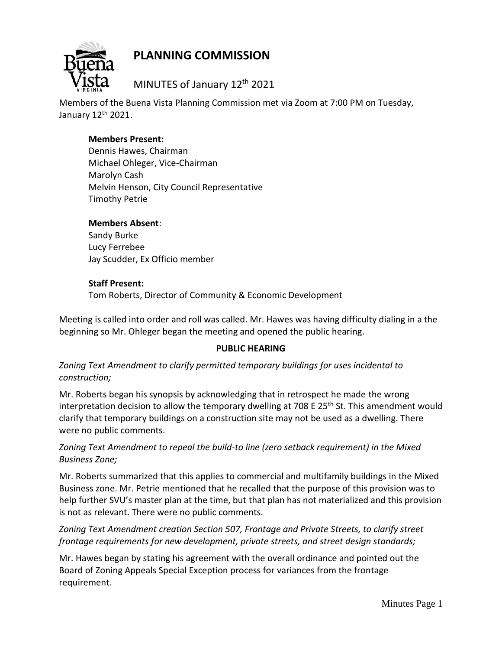

MINUTES of January 12<sup>th</sup> 2021

Members of the Buena Vista Planning Commission met via Zoom at 7:00 PM on Tuesday, January 12th 2021.

### **Members Present:**

Dennis Hawes, Chairman Michael Ohleger, Vice-Chairman Marolyn Cash Melvin Henson, City Council Representative Timothy Petrie

### **Members Absent**:

Sandy Burke Lucy Ferrebee Jay Scudder, Ex Officio member

### **Staff Present:**

Tom Roberts, Director of Community & Economic Development

Meeting is called into order and roll was called. Mr. Hawes was having difficulty dialing in a the beginning so Mr. Ohleger began the meeting and opened the public hearing.

### **PUBLIC HEARING**

*Zoning Text Amendment to clarify permitted temporary buildings for uses incidental to construction;*

Mr. Roberts began his synopsis by acknowledging that in retrospect he made the wrong interpretation decision to allow the temporary dwelling at 708 E 25<sup>th</sup> St. This amendment would clarify that temporary buildings on a construction site may not be used as a dwelling. There were no public comments.

## *Zoning Text Amendment to repeal the build-to line (zero setback requirement) in the Mixed Business Zone;*

Mr. Roberts summarized that this applies to commercial and multifamily buildings in the Mixed Business zone. Mr. Petrie mentioned that he recalled that the purpose of this provision was to help further SVU's master plan at the time, but that plan has not materialized and this provision is not as relevant. There were no public comments.

## *Zoning Text Amendment creation Section 507, Frontage and Private Streets, to clarify street frontage requirements for new development, private streets, and street design standards;*

Mr. Hawes began by stating his agreement with the overall ordinance and pointed out the Board of Zoning Appeals Special Exception process for variances from the frontage requirement.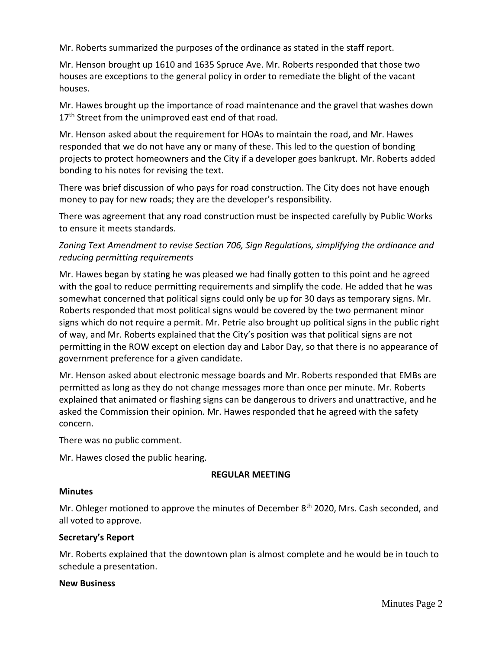Mr. Roberts summarized the purposes of the ordinance as stated in the staff report.

Mr. Henson brought up 1610 and 1635 Spruce Ave. Mr. Roberts responded that those two houses are exceptions to the general policy in order to remediate the blight of the vacant houses.

Mr. Hawes brought up the importance of road maintenance and the gravel that washes down 17<sup>th</sup> Street from the unimproved east end of that road.

Mr. Henson asked about the requirement for HOAs to maintain the road, and Mr. Hawes responded that we do not have any or many of these. This led to the question of bonding projects to protect homeowners and the City if a developer goes bankrupt. Mr. Roberts added bonding to his notes for revising the text.

There was brief discussion of who pays for road construction. The City does not have enough money to pay for new roads; they are the developer's responsibility.

There was agreement that any road construction must be inspected carefully by Public Works to ensure it meets standards.

# *Zoning Text Amendment to revise Section 706, Sign Regulations, simplifying the ordinance and reducing permitting requirements*

Mr. Hawes began by stating he was pleased we had finally gotten to this point and he agreed with the goal to reduce permitting requirements and simplify the code. He added that he was somewhat concerned that political signs could only be up for 30 days as temporary signs. Mr. Roberts responded that most political signs would be covered by the two permanent minor signs which do not require a permit. Mr. Petrie also brought up political signs in the public right of way, and Mr. Roberts explained that the City's position was that political signs are not permitting in the ROW except on election day and Labor Day, so that there is no appearance of government preference for a given candidate.

Mr. Henson asked about electronic message boards and Mr. Roberts responded that EMBs are permitted as long as they do not change messages more than once per minute. Mr. Roberts explained that animated or flashing signs can be dangerous to drivers and unattractive, and he asked the Commission their opinion. Mr. Hawes responded that he agreed with the safety concern.

There was no public comment.

Mr. Hawes closed the public hearing.

### **REGULAR MEETING**

### **Minutes**

Mr. Ohleger motioned to approve the minutes of December 8<sup>th</sup> 2020, Mrs. Cash seconded, and all voted to approve.

### **Secretary's Report**

Mr. Roberts explained that the downtown plan is almost complete and he would be in touch to schedule a presentation.

#### **New Business**